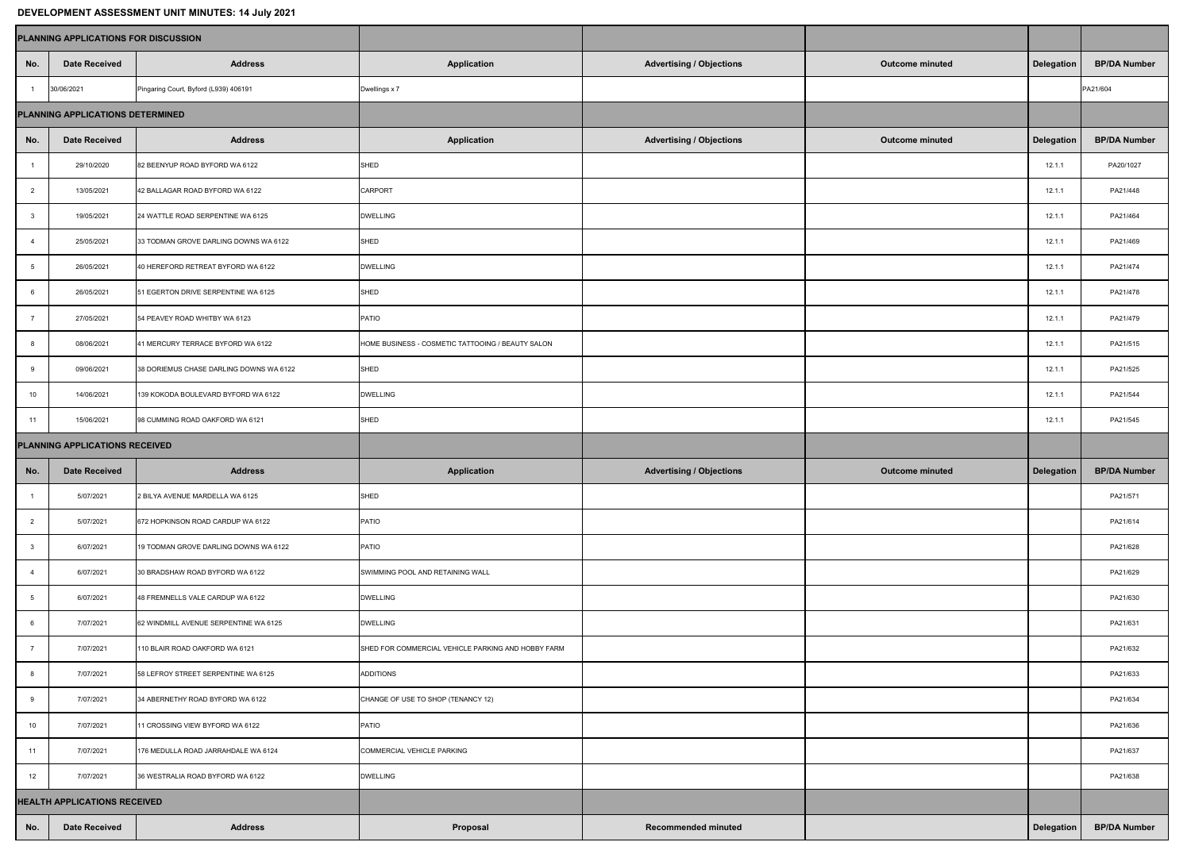| <b>DEVELOPMENT ASSESSMENT UNIT MINUTES: 14 July 2021</b> |                                             |                                         |                                                    |                                 |                        |                   |                     |  |  |  |  |  |
|----------------------------------------------------------|---------------------------------------------|-----------------------------------------|----------------------------------------------------|---------------------------------|------------------------|-------------------|---------------------|--|--|--|--|--|
|                                                          | <b>PLANNING APPLICATIONS FOR DISCUSSION</b> |                                         |                                                    |                                 |                        |                   |                     |  |  |  |  |  |
| No.                                                      | <b>Date Received</b>                        | <b>Address</b>                          | <b>Application</b>                                 | <b>Advertising / Objections</b> | <b>Outcome minuted</b> | <b>Delegation</b> | <b>BP/DA Number</b> |  |  |  |  |  |
|                                                          | 30/06/2021                                  | Pingaring Court, Byford (L939) 406191   | Dwellings x 7                                      |                                 |                        |                   | PA21/604            |  |  |  |  |  |
| PLANNING APPLICATIONS DETERMINED                         |                                             |                                         |                                                    |                                 |                        |                   |                     |  |  |  |  |  |
| No.                                                      | <b>Date Received</b>                        | <b>Address</b>                          | <b>Application</b>                                 | <b>Advertising / Objections</b> | <b>Outcome minuted</b> | <b>Delegation</b> | <b>BP/DA Number</b> |  |  |  |  |  |
|                                                          | 29/10/2020                                  | 82 BEENYUP ROAD BYFORD WA 6122          | SHED                                               |                                 |                        | 12.1.1            | PA20/1027           |  |  |  |  |  |
| $\overline{2}$                                           | 13/05/2021                                  | 42 BALLAGAR ROAD BYFORD WA 6122         | <b>CARPORT</b>                                     |                                 |                        | 12.1.1            | PA21/448            |  |  |  |  |  |
| 3                                                        | 19/05/2021                                  | 24 WATTLE ROAD SERPENTINE WA 6125       | <b>DWELLING</b>                                    |                                 |                        | 12.1.1            | PA21/464            |  |  |  |  |  |
|                                                          | 25/05/2021                                  | 33 TODMAN GROVE DARLING DOWNS WA 6122   | SHED                                               |                                 |                        | 12.1.1            | PA21/469            |  |  |  |  |  |
| $5\overline{)}$                                          | 26/05/2021                                  | 40 HEREFORD RETREAT BYFORD WA 6122      | <b>DWELLING</b>                                    |                                 |                        | 12.1.1            | PA21/474            |  |  |  |  |  |
| 6                                                        | 26/05/2021                                  | 51 EGERTON DRIVE SERPENTINE WA 6125     | SHED                                               |                                 |                        | 12.1.1            | PA21/478            |  |  |  |  |  |
|                                                          | 27/05/2021                                  | 54 PEAVEY ROAD WHITBY WA 6123           | PATIO                                              |                                 |                        | 12.1.1            | PA21/479            |  |  |  |  |  |
| 8                                                        | 08/06/2021                                  | 41 MERCURY TERRACE BYFORD WA 6122       | HOME BUSINESS - COSMETIC TATTOOING / BEAUTY SALON  |                                 |                        | 12.1.1            | PA21/515            |  |  |  |  |  |
| 9                                                        | 09/06/2021                                  | 38 DORIEMUS CHASE DARLING DOWNS WA 6122 | SHED                                               |                                 |                        | 12.1.1            | PA21/525            |  |  |  |  |  |
| 10                                                       | 14/06/2021                                  | 139 KOKODA BOULEVARD BYFORD WA 6122     | <b>DWELLING</b>                                    |                                 |                        | 12.1.1            | PA21/544            |  |  |  |  |  |
| 11                                                       | 15/06/2021                                  | 98 CUMMING ROAD OAKFORD WA 6121         | SHED                                               |                                 |                        | 12.1.1            | PA21/545            |  |  |  |  |  |
| <b>PLANNING APPLICATIONS RECEIVED</b>                    |                                             |                                         |                                                    |                                 |                        |                   |                     |  |  |  |  |  |
| No.                                                      | <b>Date Received</b>                        | <b>Address</b>                          | <b>Application</b>                                 | <b>Advertising / Objections</b> | <b>Outcome minuted</b> | <b>Delegation</b> | <b>BP/DA Number</b> |  |  |  |  |  |
|                                                          | 5/07/2021                                   | 2 BILYA AVENUE MARDELLA WA 6125         | SHED                                               |                                 |                        |                   | PA21/571            |  |  |  |  |  |
|                                                          | 5/07/2021                                   | 672 HOPKINSON ROAD CARDUP WA 6122       | PATIO                                              |                                 |                        |                   | PA21/614            |  |  |  |  |  |
|                                                          | 6/07/2021                                   | 19 TODMAN GROVE DARLING DOWNS WA 6122   | PATIO                                              |                                 |                        |                   | PA21/628            |  |  |  |  |  |
|                                                          | 6/07/2021                                   | 30 BRADSHAW ROAD BYFORD WA 6122         | SWIMMING POOL AND RETAINING WALL                   |                                 |                        |                   | PA21/629            |  |  |  |  |  |
|                                                          | 6/07/2021                                   | 48 FREMNELLS VALE CARDUP WA 6122        | <b>DWELLING</b>                                    |                                 |                        |                   | PA21/630            |  |  |  |  |  |
|                                                          | 7/07/2021                                   | 62 WINDMILL AVENUE SERPENTINE WA 6125   | <b>DWELLING</b>                                    |                                 |                        |                   | PA21/631            |  |  |  |  |  |
|                                                          | 7/07/2021                                   | 110 BLAIR ROAD OAKFORD WA 6121          | SHED FOR COMMERCIAL VEHICLE PARKING AND HOBBY FARM |                                 |                        |                   | PA21/632            |  |  |  |  |  |
|                                                          | 7/07/2021                                   | 58 LEFROY STREET SERPENTINE WA 6125     | ADDITIONS                                          |                                 |                        |                   | PA21/633            |  |  |  |  |  |
|                                                          | 7/07/2021                                   | 34 ABERNETHY ROAD BYFORD WA 6122        | CHANGE OF USE TO SHOP (TENANCY 12)                 |                                 |                        |                   | PA21/634            |  |  |  |  |  |
| 10 <sup>°</sup>                                          | 7/07/2021                                   | 11 CROSSING VIEW BYFORD WA 6122         | PATIO                                              |                                 |                        |                   | PA21/636            |  |  |  |  |  |
| 11                                                       | 7/07/2021                                   | 176 MEDULLA ROAD JARRAHDALE WA 6124     | COMMERCIAL VEHICLE PARKING                         |                                 |                        |                   | PA21/637            |  |  |  |  |  |
| 12 <sup>7</sup>                                          | 7/07/2021                                   | 36 WESTRALIA ROAD BYFORD WA 6122        | <b>DWELLING</b>                                    |                                 |                        |                   | PA21/638            |  |  |  |  |  |
| <b>HEALTH APPLICATIONS RECEIVED</b>                      |                                             |                                         |                                                    |                                 |                        |                   |                     |  |  |  |  |  |
|                                                          |                                             |                                         |                                                    |                                 |                        |                   |                     |  |  |  |  |  |